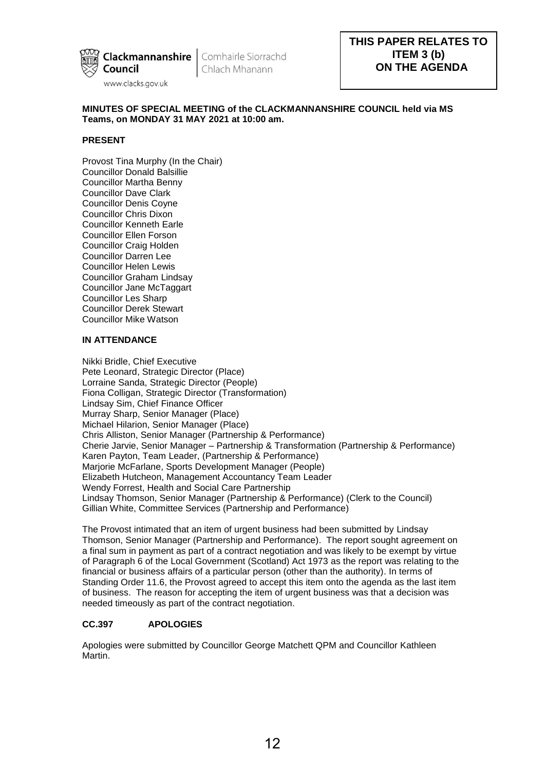

# **MINUTES OF SPECIAL MEETING of the CLACKMANNANSHIRE COUNCIL held via MS Teams, on MONDAY 31 MAY 2021 at 10:00 am.**

## **PRESENT**

Provost Tina Murphy (In the Chair) Councillor Donald Balsillie Councillor Martha Benny Councillor Dave Clark Councillor Denis Coyne Councillor Chris Dixon Councillor Kenneth Earle Councillor Ellen Forson Councillor Craig Holden Councillor Darren Lee Councillor Helen Lewis Councillor Graham Lindsay Councillor Jane McTaggart Councillor Les Sharp Councillor Derek Stewart Councillor Mike Watson

# **IN ATTENDANCE**

Nikki Bridle, Chief Executive Pete Leonard, Strategic Director (Place) Lorraine Sanda, Strategic Director (People) Fiona Colligan, Strategic Director (Transformation) Lindsay Sim, Chief Finance Officer Murray Sharp, Senior Manager (Place) Michael Hilarion, Senior Manager (Place) Chris Alliston, Senior Manager (Partnership & Performance) Cherie Jarvie, Senior Manager – Partnership & Transformation (Partnership & Performance) Karen Payton, Team Leader, (Partnership & Performance) Marjorie McFarlane, Sports Development Manager (People) Elizabeth Hutcheon, Management Accountancy Team Leader Wendy Forrest, Health and Social Care Partnership Lindsay Thomson, Senior Manager (Partnership & Performance) (Clerk to the Council) Gillian White, Committee Services (Partnership and Performance)

The Provost intimated that an item of urgent business had been submitted by Lindsay Thomson, Senior Manager (Partnership and Performance). The report sought agreement on a final sum in payment as part of a contract negotiation and was likely to be exempt by virtue of Paragraph 6 of the Local Government (Scotland) Act 1973 as the report was relating to the financial or business affairs of a particular person (other than the authority). In terms of Standing Order 11.6, the Provost agreed to accept this item onto the agenda as the last item of business. The reason for accepting the item of urgent business was that a decision was needed timeously as part of the contract negotiation.

# **CC.397 APOLOGIES**

Apologies were submitted by Councillor George Matchett QPM and Councillor Kathleen Martin.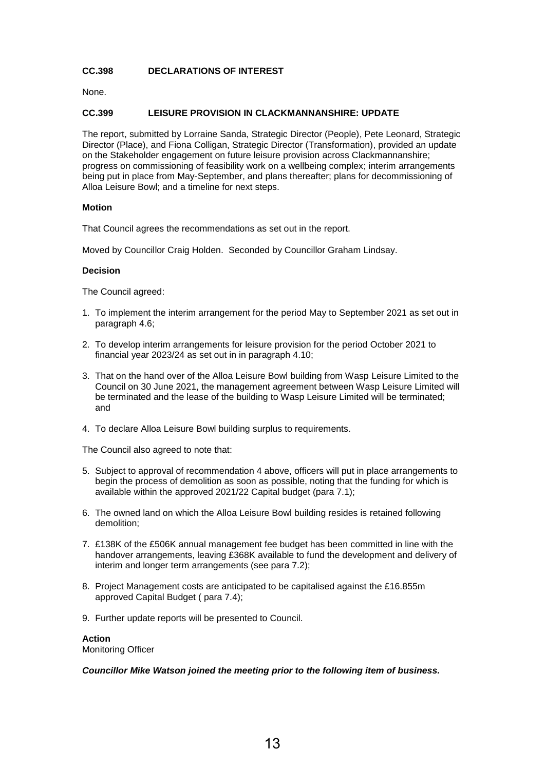## **CC.398 DECLARATIONS OF INTEREST**

None.

### **CC.399 LEISURE PROVISION IN CLACKMANNANSHIRE: UPDATE**

The report, submitted by Lorraine Sanda, Strategic Director (People), Pete Leonard, Strategic Director (Place), and Fiona Colligan, Strategic Director (Transformation), provided an update on the Stakeholder engagement on future leisure provision across Clackmannanshire; progress on commissioning of feasibility work on a wellbeing complex; interim arrangements being put in place from May-September, and plans thereafter; plans for decommissioning of Alloa Leisure Bowl; and a timeline for next steps.

#### **Motion**

That Council agrees the recommendations as set out in the report.

Moved by Councillor Craig Holden. Seconded by Councillor Graham Lindsay.

#### **Decision**

The Council agreed:

- 1. To implement the interim arrangement for the period May to September 2021 as set out in paragraph 4.6;
- 2. To develop interim arrangements for leisure provision for the period October 2021 to financial year 2023/24 as set out in in paragraph 4.10;
- 3. That on the hand over of the Alloa Leisure Bowl building from Wasp Leisure Limited to the Council on 30 June 2021, the management agreement between Wasp Leisure Limited will be terminated and the lease of the building to Wasp Leisure Limited will be terminated; and
- 4. To declare Alloa Leisure Bowl building surplus to requirements.

The Council also agreed to note that:

- 5. Subject to approval of recommendation 4 above, officers will put in place arrangements to begin the process of demolition as soon as possible, noting that the funding for which is available within the approved 2021/22 Capital budget (para 7.1);
- 6. The owned land on which the Alloa Leisure Bowl building resides is retained following demolition;
- 7. £138K of the £506K annual management fee budget has been committed in line with the handover arrangements, leaving £368K available to fund the development and delivery of interim and longer term arrangements (see para 7.2);
- 8. Project Management costs are anticipated to be capitalised against the £16.855m approved Capital Budget ( para 7.4);
- 9. Further update reports will be presented to Council.

# **Action**

Monitoring Officer

#### *Councillor Mike Watson joined the meeting prior to the following item of business.*